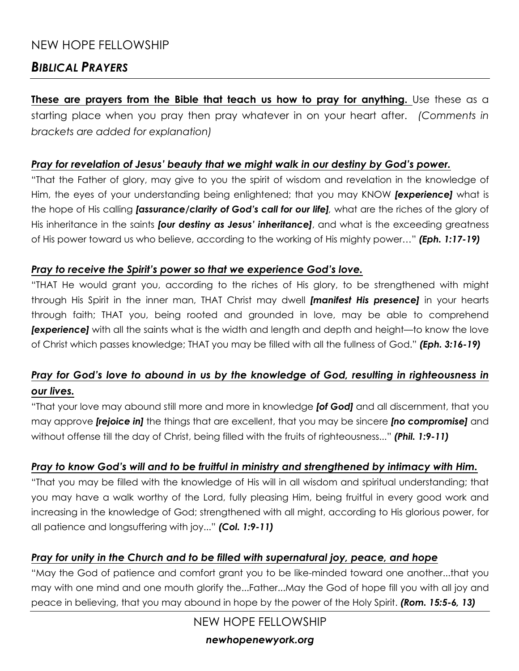## NEW HOPE FELLOWSHIP

## *BIBLICAL PRAYERS*

**These are prayers from the Bible that teach us how to pray for anything.** Use these as a starting place when you pray then pray whatever in on your heart after. *(Comments in brackets are added for explanation)*

#### *Pray for revelation of Jesus' beauty that we might walk in our destiny by God's power.*

"That the Father of glory, may give to you the spirit of wisdom and revelation in the knowledge of Him, the eyes of your understanding being enlightened; that you may KNOW *[experience]* what is the hope of His calling *[assurance/clarity of God's call for our life],* what are the riches of the glory of His inheritance in the saints *[our destiny as Jesus' inheritance]*, and what is the exceeding greatness of His power toward us who believe, according to the working of His mighty power…" *(Eph. 1:17-19)*

#### *Pray to receive the Spirit's power so that we experience God's love.*

"THAT He would grant you, according to the riches of His glory, to be strengthened with might through His Spirit in the inner man, THAT Christ may dwell *[manifest His presence]* in your hearts through faith; THAT you, being rooted and grounded in love, may be able to comprehend *[experience]* with all the saints what is the width and length and depth and height—to know the love of Christ which passes knowledge; THAT you may be filled with all the fullness of God." *(Eph. 3:16-19)*

### *Pray for God's love to abound in us by the knowledge of God, resulting in righteousness in our lives.*

"That your love may abound still more and more in knowledge *[of God]* and all discernment, that you may approve *[rejoice in]* the things that are excellent, that you may be sincere *[no compromise]* and without offense till the day of Christ, being filled with the fruits of righteousness..." *(Phil. 1:9-11)*

#### *Pray to know God's will and to be fruitful in ministry and strengthened by intimacy with Him.*

"That you may be filled with the knowledge of His will in all wisdom and spiritual understanding; that you may have a walk worthy of the Lord, fully pleasing Him, being fruitful in every good work and increasing in the knowledge of God; strengthened with all might, according to His glorious power, for all patience and longsuffering with joy..." *(Col. 1:9-11)*

#### *Pray for unity in the Church and to be filled with supernatural joy, peace, and hope*

"May the God of patience and comfort grant you to be like-minded toward one another...that you may with one mind and one mouth glorify the...Father...May the God of hope fill you with all joy and peace in believing, that you may abound in hope by the power of the Holy Spirit. *(Rom. 15:5-6, 13)*

NEW HOPE FELLOWSHIP

#### *newhopenewyork.org*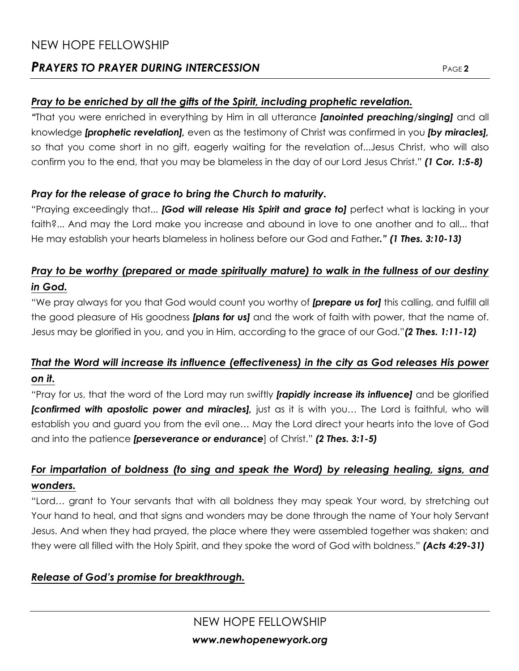## NEW HOPE FELLOWSHIP

### **PRAYERS TO PRAYER DURING INTERCESSION**

### *Pray to be enriched by all the gifts of the Spirit, including prophetic revelation.*

*"*That you were enriched in everything by Him in all utterance *[anointed preaching/singing]* and all knowledge *[prophetic revelation],* even as the testimony of Christ was confirmed in you *[by miracles],*  so that you come short in no gift, eagerly waiting for the revelation of...Jesus Christ, who will also confirm you to the end, that you may be blameless in the day of our Lord Jesus Christ." *(1 Cor. 1:5-8)*

### *Pray for the release of grace to bring the Church to maturity.*

"Praying exceedingly that... *[God will release His Spirit and grace to]* perfect what is lacking in your faith?... And may the Lord make you increase and abound in love to one another and to all... that He may establish your hearts blameless in holiness before our God and Father*." (1 Thes. 3:10-13)*

### *Pray to be worthy (prepared or made spiritually mature) to walk in the fullness of our destiny in God.*

"We pray always for you that God would count you worthy of *[prepare us for]* this calling, and fulfill all the good pleasure of His goodness *[plans for us]* and the work of faith with power, that the name of. Jesus may be glorified in you, and you in Him, according to the grace of our God."*(2 Thes. 1:11-12)*

## *That the Word will increase its influence (effectiveness) in the city as God releases His power on it.*

"Pray for us, that the word of the Lord may run swiftly *[rapidly increase its influence]* and be glorified **[confirmed with apostolic power and miracles]**, just as it is with you... The Lord is faithful, who will establish you and guard you from the evil one… May the Lord direct your hearts into the love of God and into the patience *[perseverance or endurance*] of Christ." *(2 Thes. 3:1-5)*

### *For impartation of boldness (to sing and speak the Word) by releasing healing, signs, and wonders.*

"Lord… grant to Your servants that with all boldness they may speak Your word, by stretching out Your hand to heal, and that signs and wonders may be done through the name of Your holy Servant Jesus. And when they had prayed, the place where they were assembled together was shaken; and they were all filled with the Holy Spirit, and they spoke the word of God with boldness." *(Acts 4:29-31)*

### *Release of God's promise for breakthrough.*